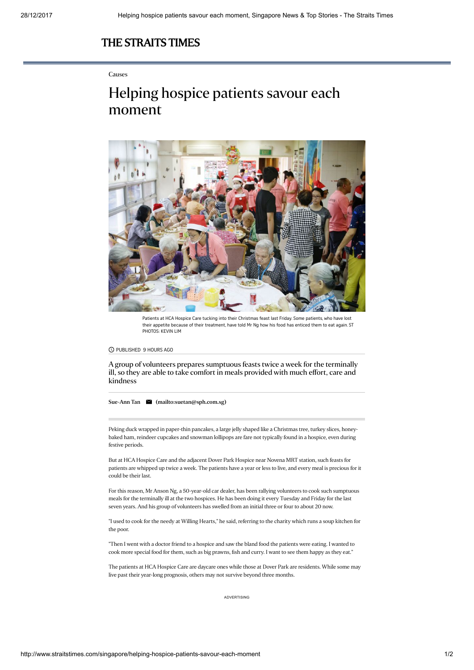## [THE STRAITS TIMES](http://www.straitstimes.com/)

## Causes

## Helping hospice patients savour each moment



Patients at HCA Hospice Care tucking into their Christmas feast last Friday. Some patients, who have lost their appetite because of their treatment, have told Mr Ng how his food has enticed them to eat again. ST PHOTOS: KEVIN LIM

PUBLISHED 9 HOURS AGO

A group of volunteers prepares sumptuous feasts twice a week for the terminally ill, so they are able to take comfort in meals provided with much effort, care and kindness

[Sue-Ann](http://www.straitstimes.com/authors/sue-ann-tan) Tan [\(mailto:suetan@sph.com.sg\)](mailto:suetan@sph.com.sg)

Peking duck wrapped in paper-thin pancakes, a large jelly shaped like a Christmas tree, turkey slices, honeybaked ham, reindeer cupcakes and snowman lollipops are fare not typically found in a hospice, even during festive periods.

But at HCA Hospice Care and the adjacent Dover Park Hospice near Novena MRT station, such feasts for patients are whipped up twice a week. The patients have a year or less to live, and every meal is precious for it could be their last.

For this reason, Mr Anson Ng, a 50-year-old car dealer, has been rallying volunteers to cook such sumptuous meals for the terminally ill at the two hospices. He has been doing it every Tuesday and Friday for the last seven years. And his group of volunteers has swelled from an initial three or four to about 20 now.

"I used to cook for the needy at Willing Hearts," he said, referring to the charity which runs a soup kitchen for the poor.

"Then I went with a doctor friend to a hospice and saw the bland food the patients were eating. I wanted to cook more special food for them, such as big prawns, fish and curry. I want to see them happy as they eat."

The patients at HCA Hospice Care are daycare ones while those at Dover Park are residents. While some may live past their year-long prognosis, others may not survive beyond three months.

ADVERTISING